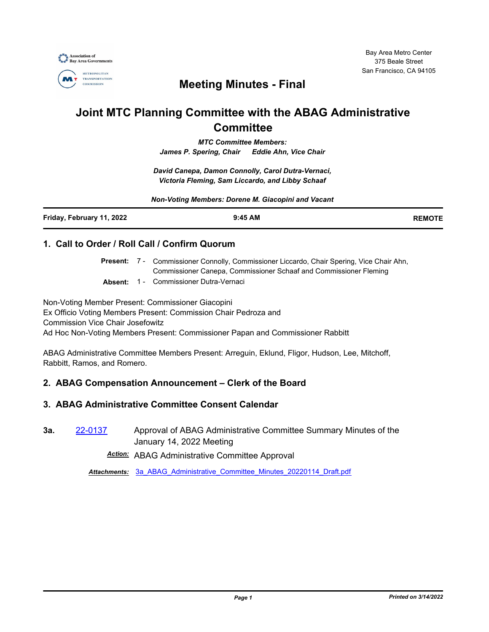

Bay Area Metro Center 375 Beale Street San Francisco, CA 94105

# **Meeting Minutes - Final**

# **Joint MTC Planning Committee with the ABAG Administrative Committee**

*MTC Committee Members: James P. Spering, Chair Eddie Ahn, Vice Chair*

*David Canepa, Damon Connolly, Carol Dutra-Vernaci, Victoria Fleming, Sam Liccardo, and Libby Schaaf*

*Non-Voting Members: Dorene M. Giacopini and Vacant*

| Friday, February 11, 2022 | $9:45$ AM | <b>REMOTE</b> |
|---------------------------|-----------|---------------|
|                           |           |               |

### **1. Call to Order / Roll Call / Confirm Quorum**

Present: 7 - Commissioner Connolly, Commissioner Liccardo, Chair Spering, Vice Chair Ahn, Commissioner Canepa, Commissioner Schaaf and Commissioner Fleming

**Absent:** 1 - Commissioner Dutra-Vernaci

Non-Voting Member Present: Commissioner Giacopini Ex Officio Voting Members Present: Commission Chair Pedroza and Commission Vice Chair Josefowitz Ad Hoc Non-Voting Members Present: Commissioner Papan and Commissioner Rabbitt

ABAG Administrative Committee Members Present: Arreguin, Eklund, Fligor, Hudson, Lee, Mitchoff, Rabbitt, Ramos, and Romero.

# **2. ABAG Compensation Announcement – Clerk of the Board**

# **3. ABAG Administrative Committee Consent Calendar**

**3a.** [22-0137](http://mtc.legistar.com/gateway.aspx?m=l&id=/matter.aspx?key=23396) Approval of ABAG Administrative Committee Summary Minutes of the January 14, 2022 Meeting

*Action:* ABAG Administrative Committee Approval

*Attachments:* [3a\\_ABAG\\_Administrative\\_Committee\\_Minutes\\_20220114\\_Draft.pdf](http://mtc.legistar.com/gateway.aspx?M=F&ID=efe5dbcf-8519-4835-812d-d20b49b8afc9.pdf)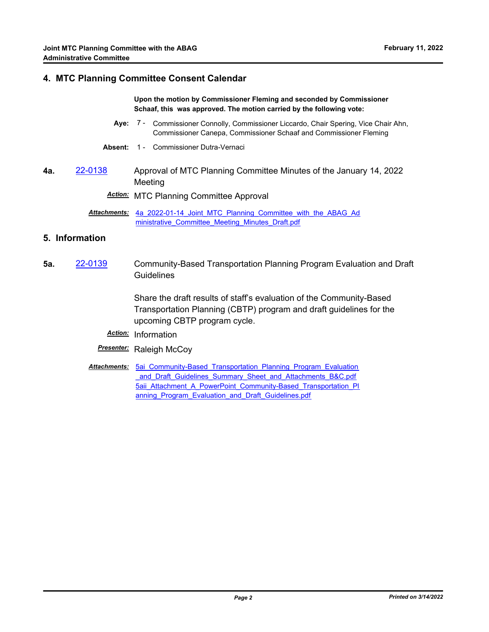#### **4. MTC Planning Committee Consent Calendar**

#### **Upon the motion by Commissioner Fleming and seconded by Commissioner Schaaf, this was approved. The motion carried by the following vote:**

- Aye: 7 Commissioner Connolly, Commissioner Liccardo, Chair Spering, Vice Chair Ahn, Commissioner Canepa, Commissioner Schaaf and Commissioner Fleming
- **Absent:** 1 Commissioner Dutra-Vernaci
- **4a.** [22-0138](http://mtc.legistar.com/gateway.aspx?m=l&id=/matter.aspx?key=23397) Approval of MTC Planning Committee Minutes of the January 14, 2022 Meeting

*Action:* MTC Planning Committee Approval

Attachments: 4a 2022-01-14 Joint MTC Planning Committee with the ABAG Ad ministrative\_Committee\_Meeting\_Minutes\_Draft.pdf

### **5. Information**

**5a.** [22-0139](http://mtc.legistar.com/gateway.aspx?m=l&id=/matter.aspx?key=23398) Community-Based Transportation Planning Program Evaluation and Draft **Guidelines** 

> Share the draft results of staff's evaluation of the Community-Based Transportation Planning (CBTP) program and draft guidelines for the upcoming CBTP program cycle.

- *Action:* Information
- **Presenter:** Raleigh McCoy
- Attachments: 5ai Community-Based Transportation Planning Program Evaluation \_and\_Draft\_Guidelines\_Summary\_Sheet\_and\_Attachments\_B&C.pdf 5aii Attachment A PowerPoint Community-Based Transportation Pl anning Program Evaluation and Draft Guidelines.pdf